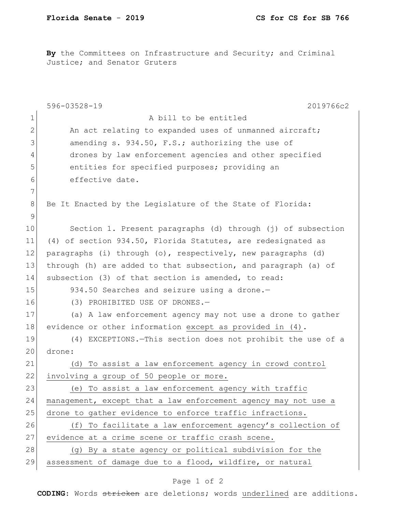By the Committees on Infrastructure and Security; and Criminal Justice; and Senator Gruters

|               | 596-03528-19<br>2019766c2                                      |
|---------------|----------------------------------------------------------------|
| 1             | A bill to be entitled                                          |
| $\mathbf{2}$  | An act relating to expanded uses of unmanned aircraft;         |
| 3             | amending s. 934.50, F.S.; authorizing the use of               |
| 4             | drones by law enforcement agencies and other specified         |
| 5             | entities for specified purposes; providing an                  |
| 6             | effective date.                                                |
| 7             |                                                                |
| 8             | Be It Enacted by the Legislature of the State of Florida:      |
| $\mathcal{G}$ |                                                                |
| 10            | Section 1. Present paragraphs (d) through (j) of subsection    |
| 11            | (4) of section 934.50, Florida Statutes, are redesignated as   |
| 12            | paragraphs (i) through (o), respectively, new paragraphs (d)   |
| 13            | through (h) are added to that subsection, and paragraph (a) of |
| 14            | subsection (3) of that section is amended, to read:            |
| 15            | 934.50 Searches and seizure using a drone.-                    |
| 16            | (3) PROHIBITED USE OF DRONES.-                                 |
| 17            | (a) A law enforcement agency may not use a drone to gather     |
| 18            | evidence or other information except as provided in (4).       |
| 19            | (4) EXCEPTIONS. - This section does not prohibit the use of a  |
| 20            | drone:                                                         |
| 21            | (d) To assist a law enforcement agency in crowd control        |
| 22            | involving a group of 50 people or more.                        |
| 23            | (e) To assist a law enforcement agency with traffic            |
| 24            | management, except that a law enforcement agency may not use a |
| 25            | drone to gather evidence to enforce traffic infractions.       |
| 26            | (f) To facilitate a law enforcement agency's collection of     |
| 27            | evidence at a crime scene or traffic crash scene.              |
| 28            | (g) By a state agency or political subdivision for the         |
| 29            | assessment of damage due to a flood, wildfire, or natural      |

## Page 1 of 2

**CODING**: Words stricken are deletions; words underlined are additions.